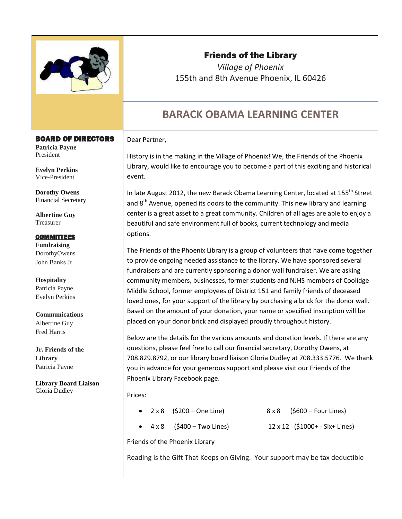

## Friends of the Library

*Village of Phoenix*  155th and 8th Avenue Phoenix, IL 60426

# **BARACK OBAMA LEARNING CENTER**

#### Dear Partner,

History is in the making in the Village of Phoenix! We, the Friends of the Phoenix Library, would like to encourage you to become a part of this exciting and historical event.

In late August 2012, the new Barack Obama Learning Center, located at 155<sup>th</sup> Street and  $8<sup>th</sup>$  Avenue, opened its doors to the community. This new library and learning center is a great asset to a great community. Children of all ages are able to enjoy a beautiful and safe environment full of books, current technology and media options.

The Friends of the Phoenix Library is a group of volunteers that have come together to provide ongoing needed assistance to the library. We have sponsored several fundraisers and are currently sponsoring a donor wall fundraiser. We are asking community members, businesses, former students and NJHS members of Coolidge Middle School, former employees of District 151 and family friends of deceased loved ones, for your support of the library by purchasing a brick for the donor wall. Based on the amount of your donation, your name or specified inscription will be placed on your donor brick and displayed proudly throughout history.

Below are the details for the various amounts and donation levels. If there are any questions, please feel free to call our financial secretary, Dorothy Owens, at 708.829.8792, or our library board liaison Gloria Dudley at 708.333.5776. We thank you in advance for your generous support and please visit our Friends of the Phoenix Library Facebook page.

Prices:

| • $2 \times 8$ (\$200 – One Line)   | $8 \times 8$ (\$600 – Four Lines) |
|-------------------------------------|-----------------------------------|
| $\bullet$ 4 x 8 (\$400 – Two Lines) | 12 x 12 (\$1000+ - Six+ Lines)    |
| Friends of the Phoenix Library      |                                   |

Reading is the Gift That Keeps on Giving. Your support may be tax deductible

#### BOARD OF DIRECTORS

**Patricia Payne**  President

**Evelyn Perkins**  Vice-President

**Dorothy Owens** Financial Secretary

**Albertine Guy**  Treasurer

#### **COMMITTEES**

**Fundraising**  DorothyOwens John Banks Jr.

**Hospitality**  Patricia Payne Evelyn Perkins

**Communications**  Albertine Guy Fred Harris

**Jr. Friends of the Library**  Patricia Payne

**Library Board Liaison** Gloria Dudley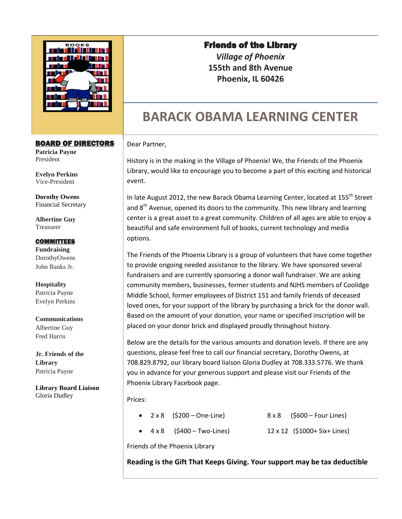

#### BOARD OF DIRECTORS

**Patricia Payne**  President

**Evelyn Perkins**  Vice-President

**Dorothy Owens** Financial Secretary

**Albertine Guy**  Treasurer

#### **COMMITTEES**

**Fundraising**  DorothyOwens John Banks Jr.

**Hospitality**  Patricia Payne Evelyn Perkins

**Communications**  Albertine Guy Fred Harris

**Jr. Friends of the Library**  Patricia Payne

**Library Board Liaison** Gloria Dudley

### Friends of the Library

*Village of Phoenix*  **155th and 8th Avenue Phoenix, IL 60426** 

# **BARACK OBAMA LEARNING CENTER**

#### Dear Partner,

History is in the making in the Village of Phoenix! We, the Friends of the Phoenix Library, would like to encourage you to become a part of this exciting and historical event.

In late August 2012, the new Barack Obama Learning Center, located at 155<sup>th</sup> Street and  $8<sup>th</sup>$  Avenue, opened its doors to the community. This new library and learning center is a great asset to a great community. Children of all ages are able to enjoy a beautiful and safe environment full of books, current technology and media options.

The Friends of the Phoenix Library is a group of volunteers that have come together to provide ongoing needed assistance to the library. We have sponsored several fundraisers and are currently sponsoring a donor wall fundraiser. We are asking community members, businesses, former students and NJHS members of Coolidge Middle School, former employees of District 151 and family friends of deceased loved ones, for your support of the library by purchasing a brick for the donor wall. Based on the amount of your donation, your name or specified inscription will be placed on your donor brick and displayed proudly throughout history.

Below are the details for the various amounts and donation levels. If there are any questions, please feel free to call our financial secretary, Dorothy Owens, at 708.829.8792, our library board liaison Gloria Dudley at 708.333.5776. We thank you in advance for your generous support and please visit our Friends of the Phoenix Library Facebook page.

Prices:

- $2 \times 8$  (\$200 One-Line) 8 x 8 (\$600 Four Lines)
- 
- 
- 4 x 8 (\$400 Two-Lines) 12 x 12 (\$1000+ Six+ Lines)
- 

Friends of the Phoenix Library

**Reading is the Gift That Keeps Giving. Your support may be tax deductible**